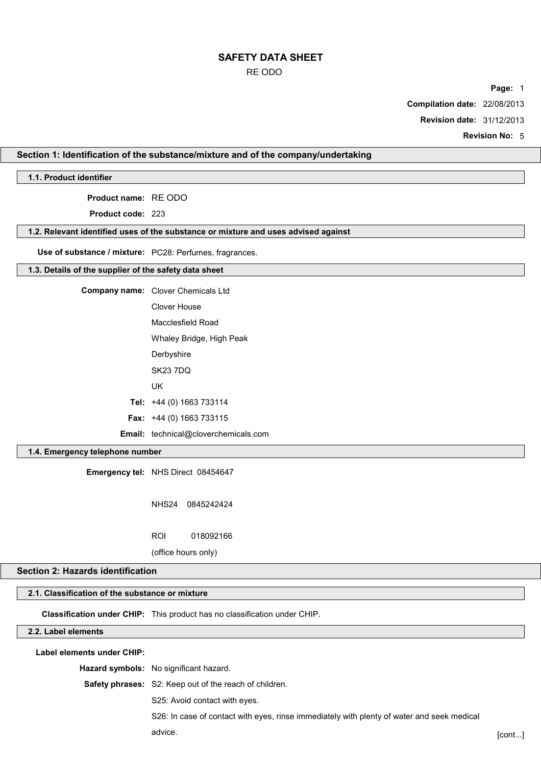#### RE ODO

**Page:** 1

**Compilation date:** 22/08/2013

**Revision date:** 31/12/2013

**Revision No:** 5

# **Section 1: Identification of the substance/mixture and of the company/undertaking**

## **1.1. Product identifier**

**Product name:** RE ODO

**Product code:** 223

#### **1.2. Relevant identified uses of the substance or mixture and uses advised against**

**Use of substance / mixture:** PC28: Perfumes, fragrances.

#### **1.3. Details of the supplier of the safety data sheet**

**Company name:** Clover Chemicals Ltd Clover House Macclesfield Road Whaley Bridge, High Peak **Derbyshire** SK23 7DQ

UK

**Tel:** +44 (0) 1663 733114

**Fax:** +44 (0) 1663 733115

**Email:** technical@cloverchemicals.com

### **1.4. Emergency telephone number**

**Emergency tel:** NHS Direct 08454647

NHS24 0845242424

ROI 018092166

(office hours only)

### **Section 2: Hazards identification**

## **2.1. Classification of the substance or mixture**

**Classification under CHIP:** This product has no classification under CHIP.

### **2.2. Label elements**

**Label elements under CHIP:**

**Hazard symbols:** No significant hazard.

**Safety phrases:** S2: Keep out of the reach of children.

S25: Avoid contact with eyes.

S26: In case of contact with eyes, rinse immediately with plenty of water and seek medical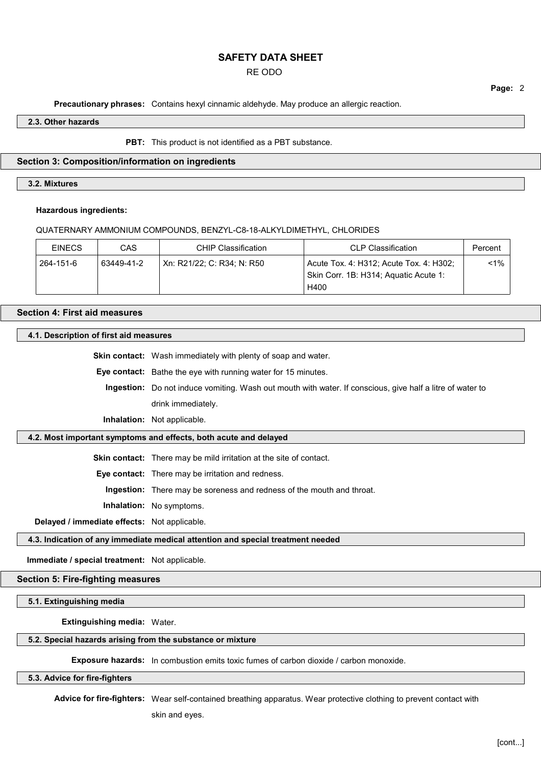# RE ODO

**Precautionary phrases:** Contains hexyl cinnamic aldehyde. May produce an allergic reaction.

#### **2.3. Other hazards**

**PBT:** This product is not identified as a PBT substance.

#### **Section 3: Composition/information on ingredients**

### **3.2. Mixtures**

#### **Hazardous ingredients:**

QUATERNARY AMMONIUM COMPOUNDS, BENZYL-C8-18-ALKYLDIMETHYL, CHLORIDES

| <b>EINECS</b> | CAS        | CHIP Classification        | <b>CLP Classification</b>                                                        | Percent |
|---------------|------------|----------------------------|----------------------------------------------------------------------------------|---------|
| 264-151-6     | 63449-41-2 | Xn: R21/22; C: R34; N: R50 | Acute Tox. 4: H312; Acute Tox. 4: H302;<br>Skin Corr. 1B: H314; Aquatic Acute 1: | $1\%$   |
|               |            |                            | H400                                                                             |         |

# **Section 4: First aid measures**

### **4.1. Description of first aid measures**

**Skin contact:** Wash immediately with plenty of soap and water.

**Eye contact:** Bathe the eye with running water for 15 minutes.

**Ingestion:** Do not induce vomiting. Wash out mouth with water. If conscious, give half a litre of water to drink immediately.

**Inhalation:** Not applicable.

### **4.2. Most important symptoms and effects, both acute and delayed**

**Skin contact:** There may be mild irritation at the site of contact.

**Eye contact:** There may be irritation and redness.

**Ingestion:** There may be soreness and redness of the mouth and throat.

**Inhalation:** No symptoms.

**Delayed / immediate effects:** Not applicable.

**4.3. Indication of any immediate medical attention and special treatment needed**

**Immediate / special treatment:** Not applicable.

#### **Section 5: Fire-fighting measures**

**5.1. Extinguishing media**

**Extinguishing media:** Water.

#### **5.2. Special hazards arising from the substance or mixture**

**Exposure hazards:** In combustion emits toxic fumes of carbon dioxide / carbon monoxide.

#### **5.3. Advice for fire-fighters**

**Advice for fire-fighters:** Wear self-contained breathing apparatus. Wear protective clothing to prevent contact with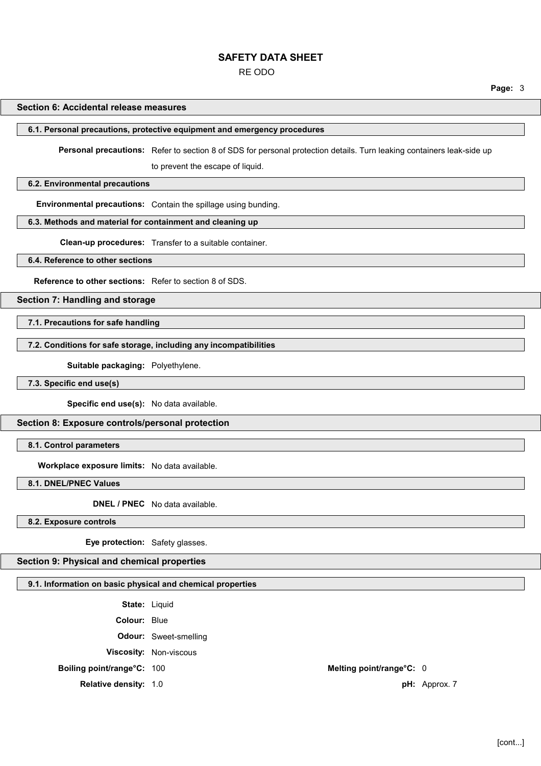RE ODO

**Page:** 3

#### **Section 6: Accidental release measures**

#### **6.1. Personal precautions, protective equipment and emergency procedures**

**Personal precautions:** Refer to section 8 of SDS for personal protection details. Turn leaking containers leak-side up

to prevent the escape of liquid.

### **6.2. Environmental precautions**

**Environmental precautions:** Contain the spillage using bunding.

#### **6.3. Methods and material for containment and cleaning up**

**Clean-up procedures:** Transfer to a suitable container.

#### **6.4. Reference to other sections**

**Reference to other sections:** Refer to section 8 of SDS.

#### **Section 7: Handling and storage**

**7.1. Precautions for safe handling**

### **7.2. Conditions for safe storage, including any incompatibilities**

**Suitable packaging:** Polyethylene.

**7.3. Specific end use(s)**

**Specific end use(s):** No data available.

### **Section 8: Exposure controls/personal protection**

**8.1. Control parameters**

**Workplace exposure limits:** No data available.

**8.1. DNEL/PNEC Values**

**DNEL / PNEC** No data available.

**8.2. Exposure controls**

**Eye protection:** Safety glasses.

### **Section 9: Physical and chemical properties**

### **9.1. Information on basic physical and chemical properties**

**State:** Liquid **Colour:** Blue **Odour:** Sweet-smelling **Viscosity:** Non-viscous **Boiling point/range°C:** 100 **Melting point/range°C:** 0

**Relative density:** 1.0 **pH:** Approx. 7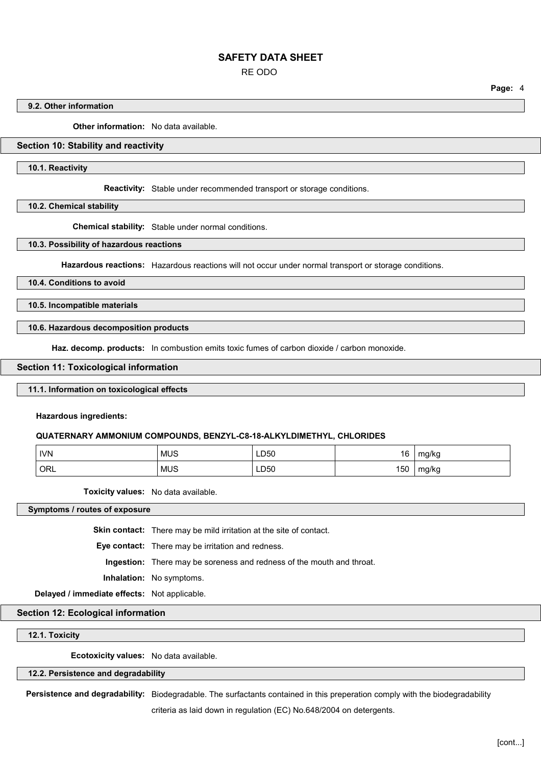RE ODO

**Page:** 4

#### **9.2. Other information**

**Other information:** No data available.

## **Section 10: Stability and reactivity**

**10.1. Reactivity**

**Reactivity:** Stable under recommended transport or storage conditions.

**10.2. Chemical stability**

**Chemical stability:** Stable under normal conditions.

**10.3. Possibility of hazardous reactions**

**Hazardous reactions:** Hazardous reactions will not occur under normal transport or storage conditions.

### **10.4. Conditions to avoid**

**10.5. Incompatible materials**

#### **10.6. Hazardous decomposition products**

**Haz. decomp. products:** In combustion emits toxic fumes of carbon dioxide / carbon monoxide.

#### **Section 11: Toxicological information**

#### **11.1. Information on toxicological effects**

**Hazardous ingredients:**

#### **QUATERNARY AMMONIUM COMPOUNDS, BENZYL-C8-18-ALKYLDIMETHYL, CHLORIDES**

| <b>IVN</b> | <b>MUS</b> | LD50        | 16  | mg/kg |
|------------|------------|-------------|-----|-------|
| ORL        | <b>MUS</b> | <b>LD50</b> | 150 | mg/kg |

**Toxicity values:** No data available.

**Symptoms / routes of exposure**

**Skin contact:** There may be mild irritation at the site of contact.

**Eye contact:** There may be irritation and redness.

**Ingestion:** There may be soreness and redness of the mouth and throat.

**Inhalation:** No symptoms.

**Delayed / immediate effects:** Not applicable.

### **Section 12: Ecological information**

**12.1. Toxicity**

**Ecotoxicity values:** No data available.

### **12.2. Persistence and degradability**

**Persistence and degradability:** Biodegradable. The surfactants contained in this preperation comply with the biodegradability

criteria as laid down in regulation (EC) No.648/2004 on detergents.